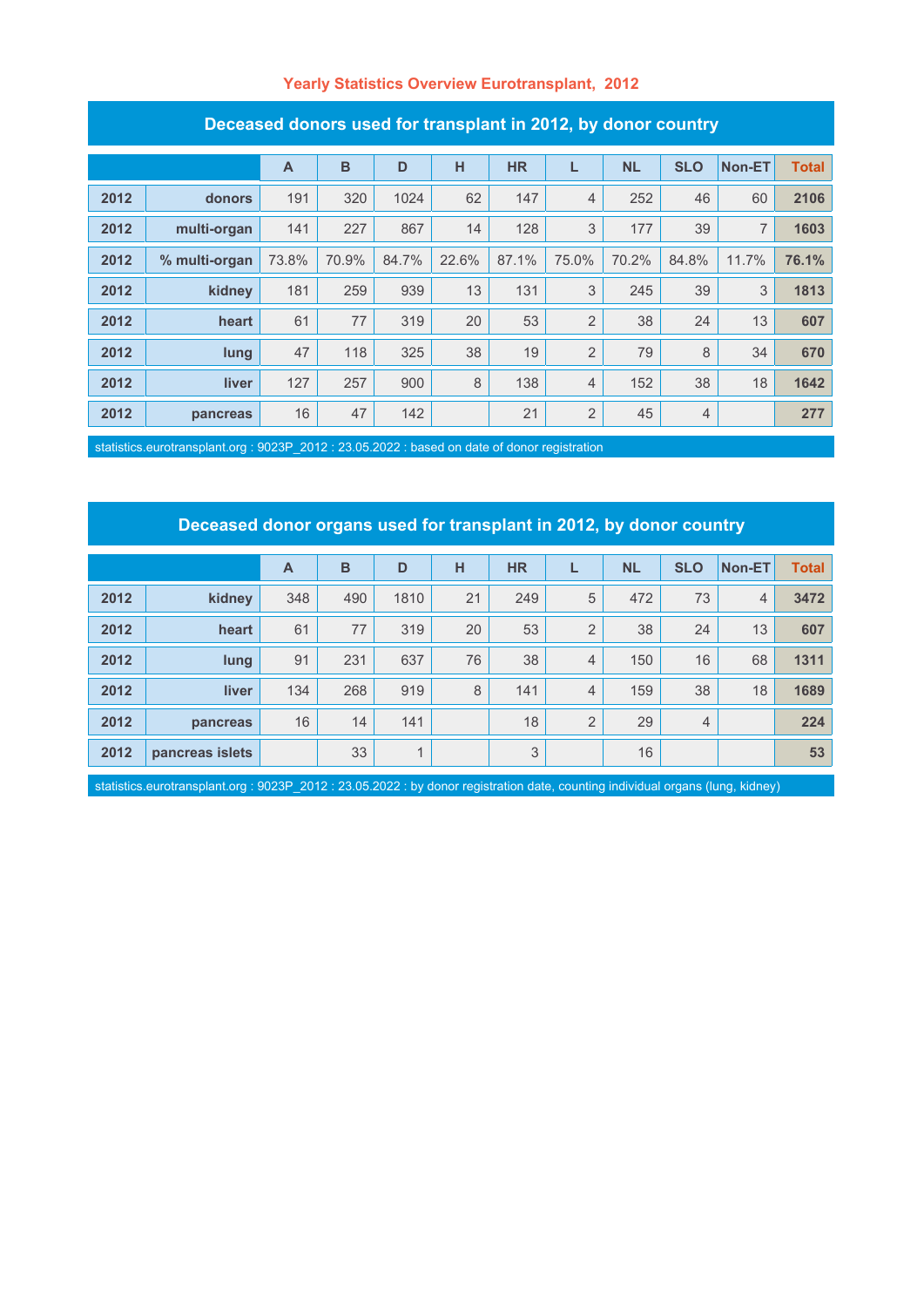### **Yearly Statistics Overview Eurotransplant, 2012**

| Deceased donors used for transplant in Z012, by donor country |               |              |       |       |       |           |                |           |                |        |              |
|---------------------------------------------------------------|---------------|--------------|-------|-------|-------|-----------|----------------|-----------|----------------|--------|--------------|
|                                                               |               | $\mathsf{A}$ | B     | D     | H     | <b>HR</b> | L              | <b>NL</b> | <b>SLO</b>     | Non-ET | <b>Total</b> |
| 2012                                                          | donors        | 191          | 320   | 1024  | 62    | 147       | $\overline{4}$ | 252       | 46             | 60     | 2106         |
| 2012                                                          | multi-organ   | 141          | 227   | 867   | 14    | 128       | 3              | 177       | 39             | 7      | 1603         |
| 2012                                                          | % multi-organ | 73.8%        | 70.9% | 84.7% | 22.6% | 87.1%     | 75.0%          | 70.2%     | 84.8%          | 11.7%  | 76.1%        |
| 2012                                                          | kidney        | 181          | 259   | 939   | 13    | 131       | 3              | 245       | 39             | 3      | 1813         |
| 2012                                                          | heart         | 61           | 77    | 319   | 20    | 53        | $\overline{2}$ | 38        | 24             | 13     | 607          |
| 2012                                                          | lung          | 47           | 118   | 325   | 38    | 19        | $\overline{2}$ | 79        | 8              | 34     | 670          |
| 2012                                                          | liver         | 127          | 257   | 900   | 8     | 138       | 4              | 152       | 38             | 18     | 1642         |
| 2012                                                          | pancreas      | 16           | 47    | 142   |       | 21        | $\overline{2}$ | 45        | $\overline{4}$ |        | 277          |

#### **Deceased donors used for transplant in 2012, by donor country**

statistics.eurotransplant.org : 9023P\_2012 : 23.05.2022 : based on date of donor registration

### **Deceased donor organs used for transplant in 2012, by donor country**

|      |                 | $\overline{A}$ | B   | D              | н  | <b>HR</b> |                | <b>NL</b> | <b>SLO</b>     | Non-ET         | <b>Total</b> |
|------|-----------------|----------------|-----|----------------|----|-----------|----------------|-----------|----------------|----------------|--------------|
| 2012 | kidney          | 348            | 490 | 1810           | 21 | 249       | 5              | 472       | 73             | $\overline{4}$ | 3472         |
| 2012 | heart           | 61             | 77  | 319            | 20 | 53        | $\overline{2}$ | 38        | 24             | 13             | 607          |
| 2012 | lung            | 91             | 231 | 637            | 76 | 38        | $\overline{4}$ | 150       | 16             | 68             | 1311         |
| 2012 | <b>liver</b>    | 134            | 268 | 919            | 8  | 141       | $\overline{4}$ | 159       | 38             | 18             | 1689         |
| 2012 | pancreas        | 16             | 14  | 141            |    | 18        | $\overline{2}$ | 29        | $\overline{4}$ |                | 224          |
| 2012 | pancreas islets |                | 33  | $\overline{A}$ |    | 3         |                | 16        |                |                | 53           |

statistics.eurotransplant.org : 9023P\_2012 : 23.05.2022 : by donor registration date, counting individual organs (lung, kidney)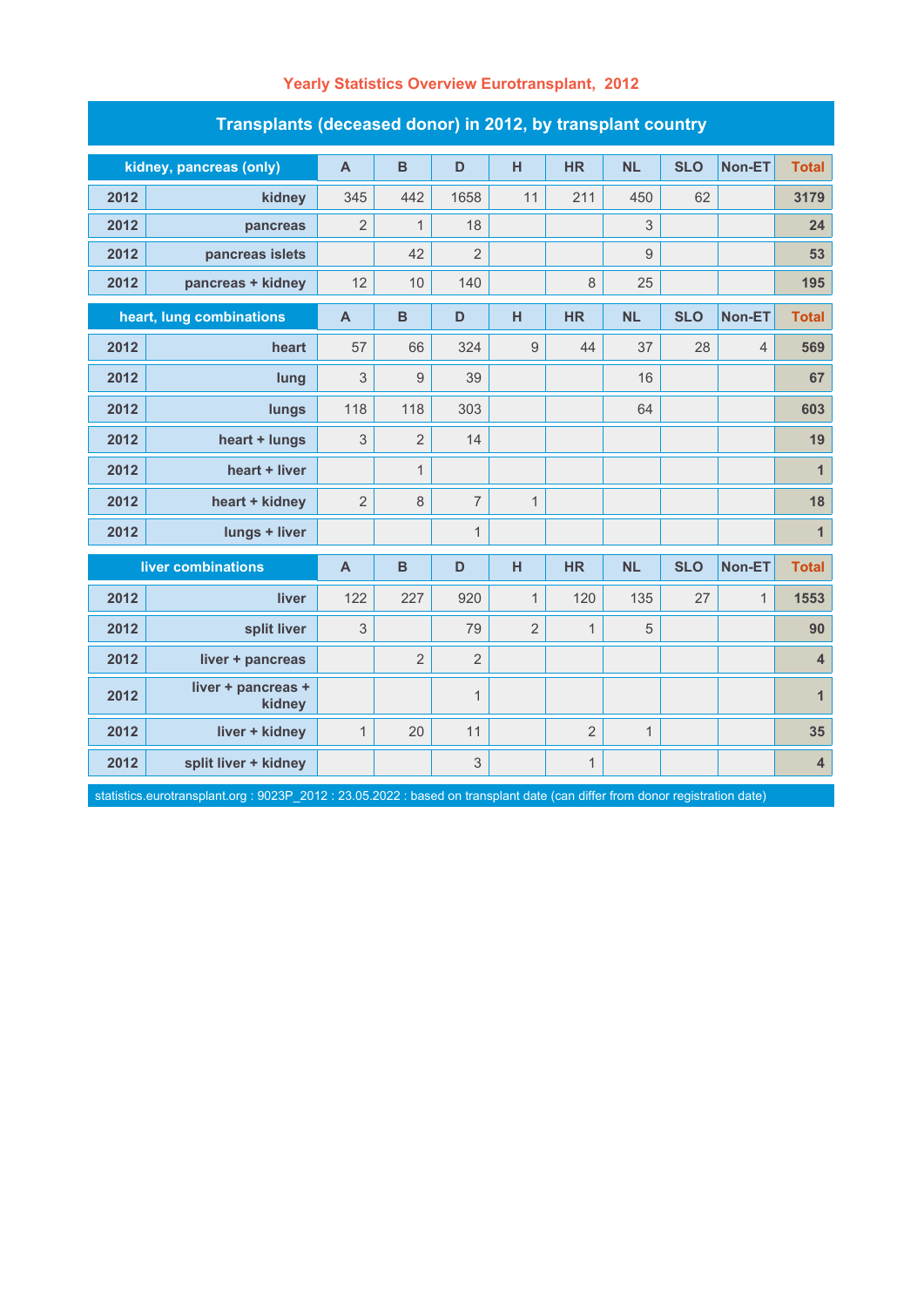| Transplants (deceased donor) in 2012, by transplant country |                              |                         |                |                |                |                |              |            |                |                         |  |
|-------------------------------------------------------------|------------------------------|-------------------------|----------------|----------------|----------------|----------------|--------------|------------|----------------|-------------------------|--|
|                                                             | kidney, pancreas (only)      | $\overline{\mathsf{A}}$ | $\mathbf B$    | D              | H              | <b>HR</b>      | <b>NL</b>    | <b>SLO</b> | Non-ET         | <b>Total</b>            |  |
| 2012                                                        | kidney                       | 345                     | 442            | 1658           | 11             | 211            | 450          | 62         |                | 3179                    |  |
| 2012                                                        | pancreas                     | $\overline{2}$          | $\mathbf{1}$   | 18             |                |                | $\sqrt{3}$   |            |                | 24                      |  |
| 2012                                                        | pancreas islets              |                         | 42             | $\overline{2}$ |                |                | $9\,$        |            |                | 53                      |  |
| 2012                                                        | pancreas + kidney            | 12                      | 10             | 140            |                | 8              | 25           |            |                | 195                     |  |
| heart, lung combinations                                    |                              | $\mathsf{A}$            | $\mathbf B$    | D              | H              | <b>HR</b>      | <b>NL</b>    | <b>SLO</b> | Non-ET         | <b>Total</b>            |  |
| 2012                                                        | heart                        | 57                      | 66             | 324            | 9              | 44             | 37           | 28         | $\overline{4}$ | 569                     |  |
| 2012                                                        | lung                         | 3                       | $\overline{9}$ | 39             |                |                | 16           |            |                | 67                      |  |
| 2012                                                        | lungs                        | 118                     | 118            | 303            |                |                | 64           |            |                | 603                     |  |
| 2012                                                        | heart + lungs                | 3                       | $\overline{2}$ | 14             |                |                |              |            |                | 19                      |  |
| 2012                                                        | heart + liver                |                         | $\mathbf{1}$   |                |                |                |              |            |                | $\mathbf{1}$            |  |
| 2012                                                        | heart + kidney               | $\overline{2}$          | 8              | $\overline{7}$ | $\mathbf{1}$   |                |              |            |                | 18                      |  |
| 2012                                                        | lungs + liver                |                         |                | $\mathbf{1}$   |                |                |              |            |                | $\mathbf{1}$            |  |
|                                                             | liver combinations           | $\mathsf{A}$            | B              | D              | н              | <b>HR</b>      | <b>NL</b>    | <b>SLO</b> | Non-ET         | <b>Total</b>            |  |
| 2012                                                        | liver                        | 122                     | 227            | 920            | 1              | 120            | 135          | 27         | $\mathbf{1}$   | 1553                    |  |
| 2012                                                        | split liver                  | 3                       |                | 79             | $\overline{2}$ | $\mathbf{1}$   | 5            |            |                | 90                      |  |
| 2012                                                        | liver + pancreas             |                         | $\overline{2}$ | $\overline{2}$ |                |                |              |            |                | $\overline{\mathbf{4}}$ |  |
| 2012                                                        | liver + pancreas +<br>kidney |                         |                | $\mathbf{1}$   |                |                |              |            |                | $\mathbf{1}$            |  |
| 2012                                                        | liver + kidney               | $\mathbf{1}$            | 20             | 11             |                | $\overline{2}$ | $\mathbf{1}$ |            |                | 35                      |  |
| 2012                                                        | split liver + kidney         |                         |                | 3              |                | $\mathbf{1}$   |              |            |                | $\overline{\mathbf{4}}$ |  |

# **Yearly Statistics Overview Eurotransplant, 2012**

statistics.eurotransplant.org : 9023P\_2012 : 23.05.2022 : based on transplant date (can differ from donor registration date)